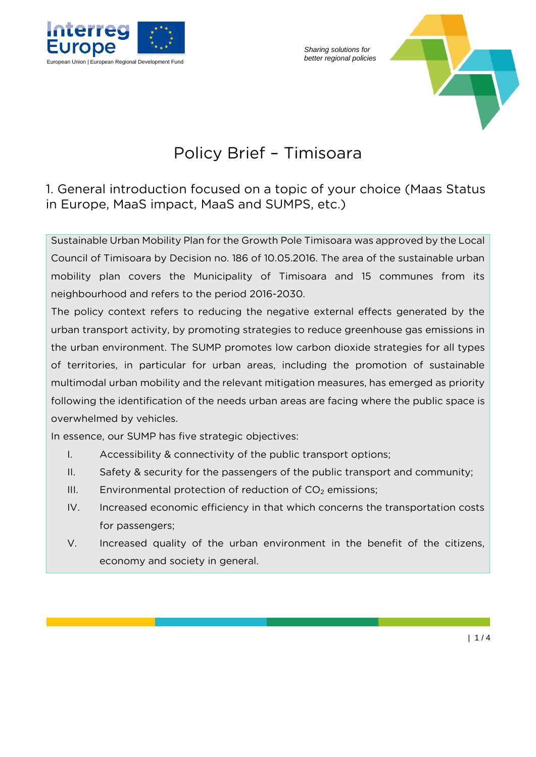

*Sharing solutions for* 



## Policy Brief – Timisoara

## 1. General introduction focused on a topic of your choice (Maas Status in Europe, MaaS impact, MaaS and SUMPS, etc.)

Sustainable Urban Mobility Plan for the Growth Pole Timisoara was approved by the Local Council of Timisoara by Decision no. 186 of 10.05.2016. The area of the sustainable urban mobility plan covers the Municipality of Timisoara and 15 communes from its neighbourhood and refers to the period 2016-2030.

The policy context refers to reducing the negative external effects generated by the urban transport activity, by promoting strategies to reduce greenhouse gas emissions in the urban environment. The SUMP promotes low carbon dioxide strategies for all types of territories, in particular for urban areas, including the promotion of sustainable multimodal urban mobility and the relevant mitigation measures, has emerged as priority following the identification of the needs urban areas are facing where the public space is overwhelmed by vehicles.

In essence, our SUMP has five strategic objectives:

- I. Accessibility & connectivity of the public transport options;
- II. Safety & security for the passengers of the public transport and community;
- III. Environmental protection of reduction of  $CO<sub>2</sub>$  emissions;
- IV. Increased economic efficiency in that which concerns the transportation costs for passengers;
- V. Increased quality of the urban environment in the benefit of the citizens, economy and society in general.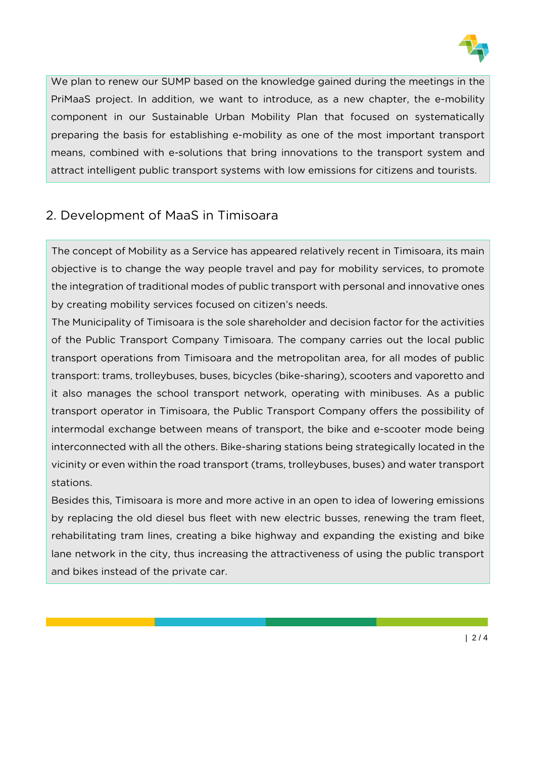

We plan to renew our SUMP based on the knowledge gained during the meetings in the PriMaaS project. In addition, we want to introduce, as a new chapter, the e-mobility component in our Sustainable Urban Mobility Plan that focused on systematically preparing the basis for establishing e-mobility as one of the most important transport means, combined with e-solutions that bring innovations to the transport system and attract intelligent public transport systems with low emissions for citizens and tourists.

## 2. Development of MaaS in Timisoara

The concept of Mobility as a Service has appeared relatively recent in Timisoara, its main objective is to change the way people travel and pay for mobility services, to promote the integration of traditional modes of public transport with personal and innovative ones by creating mobility services focused on citizen's needs.

The Municipality of Timisoara is the sole shareholder and decision factor for the activities of the Public Transport Company Timisoara. The company carries out the local public transport operations from Timisoara and the metropolitan area, for all modes of public transport: trams, trolleybuses, buses, bicycles (bike-sharing), scooters and vaporetto and it also manages the school transport network, operating with minibuses. As a public transport operator in Timisoara, the Public Transport Company offers the possibility of intermodal exchange between means of transport, the bike and e-scooter mode being interconnected with all the others. Bike-sharing stations being strategically located in the vicinity or even within the road transport (trams, trolleybuses, buses) and water transport stations.

Besides this, Timisoara is more and more active in an open to idea of lowering emissions by replacing the old diesel bus fleet with new electric busses, renewing the tram fleet, rehabilitating tram lines, creating a bike highway and expanding the existing and bike lane network in the city, thus increasing the attractiveness of using the public transport and bikes instead of the private car.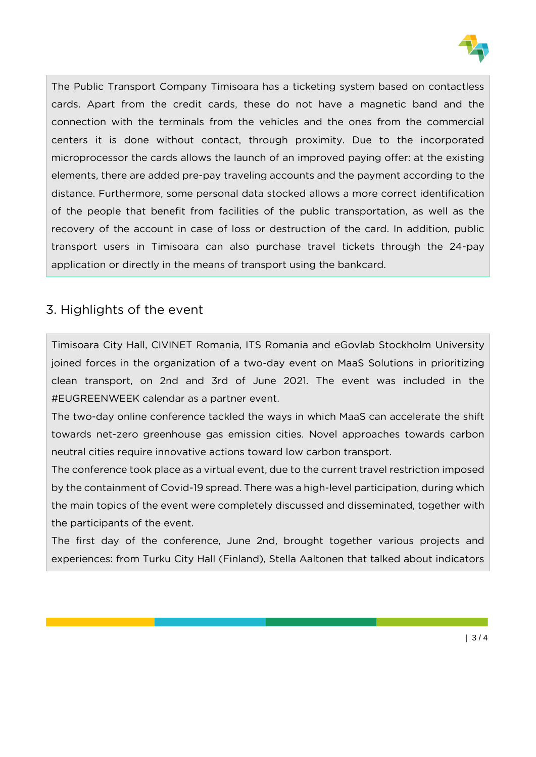

The Public Transport Company Timisoara has a ticketing system based on contactless cards. Apart from the credit cards, these do not have a magnetic band and the connection with the terminals from the vehicles and the ones from the commercial centers it is done without contact, through proximity. Due to the incorporated microprocessor the cards allows the launch of an improved paying offer: at the existing elements, there are added pre-pay traveling accounts and the payment according to the distance. Furthermore, some personal data stocked allows a more correct identification of the people that benefit from facilities of the public transportation, as well as the recovery of the account in case of loss or destruction of the card. In addition, public transport users in Timisoara can also purchase travel tickets through the 24-pay application or directly in the means of transport using the bankcard.

## 3. Highlights of the event

Timisoara City Hall, CIVINET Romania, ITS Romania and eGovlab Stockholm University joined forces in the organization of a two-day event on MaaS Solutions in prioritizing clean transport, on 2nd and 3rd of June 2021. The event was included in the #EUGREENWEEK calendar as a partner event.

The two-day online conference tackled the ways in which MaaS can accelerate the shift towards net-zero greenhouse gas emission cities. Novel approaches towards carbon neutral cities require innovative actions toward low carbon transport.

The conference took place as a virtual event, due to the current travel restriction imposed by the containment of Covid-19 spread. There was a high-level participation, during which the main topics of the event were completely discussed and disseminated, together with the participants of the event.

The first day of the conference, June 2nd, brought together various projects and experiences: from Turku City Hall (Finland), Stella Aaltonen that talked about indicators